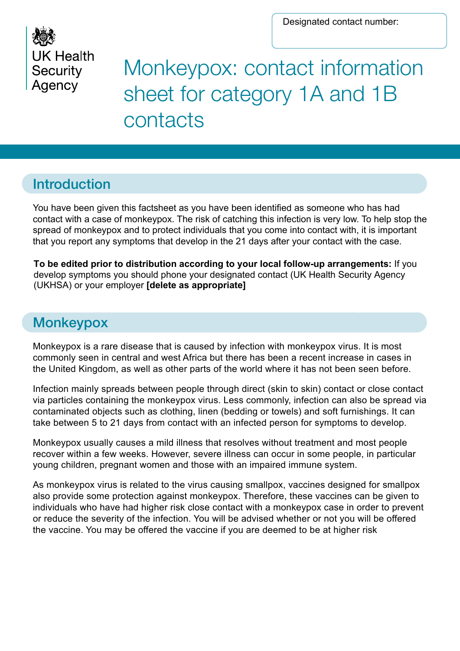

# Monkeypox: contact information sheet for category 1A and 1B contacts

#### Introduction

You have been given this factsheet as you have been identified as someone who has had contact with a case of monkeypox. The risk of catching this infection is very low. To help stop the spread of monkeypox and to protect individuals that you come into contact with, it is important that you report any symptoms that develop in the 21 days after your contact with the case.

**To be edited prior to distribution according to your local follow-up arrangements:** If you develop symptoms you should phone your designated contact (UK Health Security Agency (UKHSA) or your employer **[delete as appropriate]**

### **Monkeypox**

Monkeypox is a rare disease that is caused by infection with monkeypox virus. It is most commonly seen in central and west Africa but there has been a recent increase in cases in the United Kingdom, as well as other parts of the world where it has not been seen before.

Infection mainly spreads between people through direct (skin to skin) contact or close contact via particles containing the monkeypox virus. Less commonly, infection can also be spread via contaminated objects such as clothing, linen (bedding or towels) and soft furnishings. It can take between 5 to 21 days from contact with an infected person for symptoms to develop.

Monkeypox usually causes a mild illness that resolves without treatment and most people recover within a few weeks. However, severe illness can occur in some people, in particular young children, pregnant women and those with an impaired immune system.

As monkeypox virus is related to the virus causing smallpox, vaccines designed for smallpox also provide some protection against monkeypox. Therefore, these vaccines can be given to individuals who have had higher risk close contact with a monkeypox case in order to prevent or reduce the severity of the infection. You will be advised whether or not you will be offered the vaccine. You may be offered the vaccine if you are deemed to be at higher risk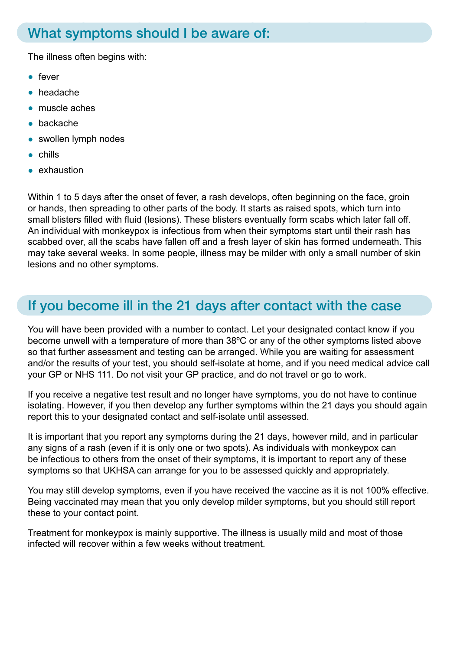#### What symptoms should I be aware of:

The illness often begins with:

- fever
- headache
- muscle aches
- backache
- swollen lymph nodes
- chills
- exhaustion

Within 1 to 5 days after the onset of fever, a rash develops, often beginning on the face, groin or hands, then spreading to other parts of the body. It starts as raised spots, which turn into small blisters filled with fluid (lesions). These blisters eventually form scabs which later fall off. An individual with monkeypox is infectious from when their symptoms start until their rash has scabbed over, all the scabs have fallen off and a fresh layer of skin has formed underneath. This may take several weeks. In some people, illness may be milder with only a small number of skin lesions and no other symptoms.

#### If you become ill in the 21 days after contact with the case

You will have been provided with a number to contact. Let your designated contact know if you become unwell with a temperature of more than 38ºC or any of the other symptoms listed above so that further assessment and testing can be arranged. While you are waiting for assessment and/or the results of your test, you should self-isolate at home, and if you need medical advice call your GP or NHS 111. Do not visit your GP practice, and do not travel or go to work.

If you receive a negative test result and no longer have symptoms, you do not have to continue isolating. However, if you then develop any further symptoms within the 21 days you should again report this to your designated contact and self-isolate until assessed.

It is important that you report any symptoms during the 21 days, however mild, and in particular any signs of a rash (even if it is only one or two spots). As individuals with monkeypox can be infectious to others from the onset of their symptoms, it is important to report any of these symptoms so that UKHSA can arrange for you to be assessed quickly and appropriately.

You may still develop symptoms, even if you have received the vaccine as it is not 100% effective. Being vaccinated may mean that you only develop milder symptoms, but you should still report these to your contact point.

Treatment for monkeypox is mainly supportive. The illness is usually mild and most of those infected will recover within a few weeks without treatment.